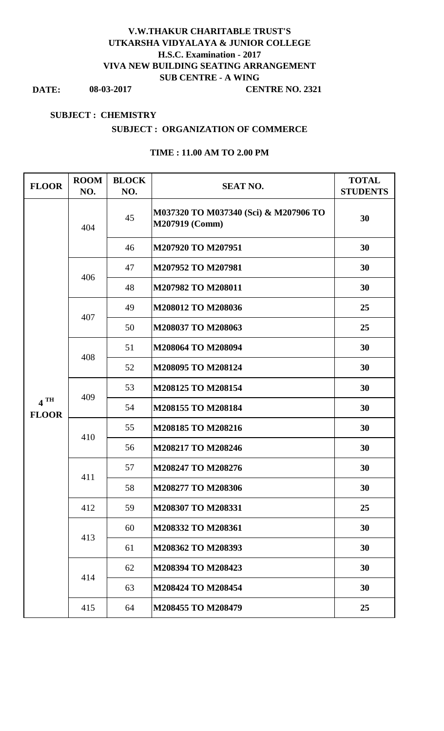## **V.W.THAKUR CHARITABLE TRUST'S UTKARSHA VIDYALAYA & JUNIOR COLLEGE H.S.C. Examination - 2017 VIVA NEW BUILDING SEATING ARRANGEMENT SUB CENTRE - A WING**

**DATE: 08-03-2017**

#### **CENTRE NO. 2321**

#### **SUBJECT : CHEMISTRY**

#### **SUBJECT : ORGANIZATION OF COMMERCE**

| <b>FLOOR</b>                      | <b>ROOM</b><br>NO. | <b>BLOCK</b><br>NO. | <b>SEAT NO.</b>                                         | <b>TOTAL</b><br><b>STUDENTS</b> |
|-----------------------------------|--------------------|---------------------|---------------------------------------------------------|---------------------------------|
|                                   | 404                | 45                  | M037320 TO M037340 (Sci) & M207906 TO<br>M207919 (Comm) | 30                              |
|                                   |                    | 46                  | M207920 TO M207951                                      | 30                              |
|                                   | 406                | 47                  | M207952 TO M207981                                      | 30                              |
|                                   |                    | 48                  | M207982 TO M208011                                      | 30                              |
|                                   | 407                | 49                  | M208012 TO M208036                                      | 25                              |
| $4$ <sup>TH</sup><br><b>FLOOR</b> |                    | 50                  | M208037 TO M208063                                      | 25                              |
|                                   | 408                | 51                  | M208064 TO M208094                                      | 30                              |
|                                   |                    | 52                  | M208095 TO M208124                                      | 30                              |
|                                   | 409                | 53                  | M208125 TO M208154                                      | 30                              |
|                                   |                    | 54                  | M208155 TO M208184                                      | 30                              |
|                                   | 410                | 55                  | M208185 TO M208216                                      | 30                              |
|                                   |                    | 56                  | M208217 TO M208246                                      | 30                              |
|                                   | 411                | 57                  | M208247 TO M208276                                      | 30                              |
|                                   |                    | 58                  | M208277 TO M208306                                      | 30                              |
|                                   | 412                | 59                  | M208307 TO M208331                                      | 25                              |
|                                   | 413                | 60                  | M208332 TO M208361                                      | 30                              |
|                                   |                    | 61                  | M208362 TO M208393                                      | 30                              |
|                                   | 414                | 62                  | M208394 TO M208423                                      | 30                              |
|                                   |                    | 63                  | M208424 TO M208454                                      | 30                              |
|                                   | 415                | 64                  | M208455 TO M208479                                      | 25                              |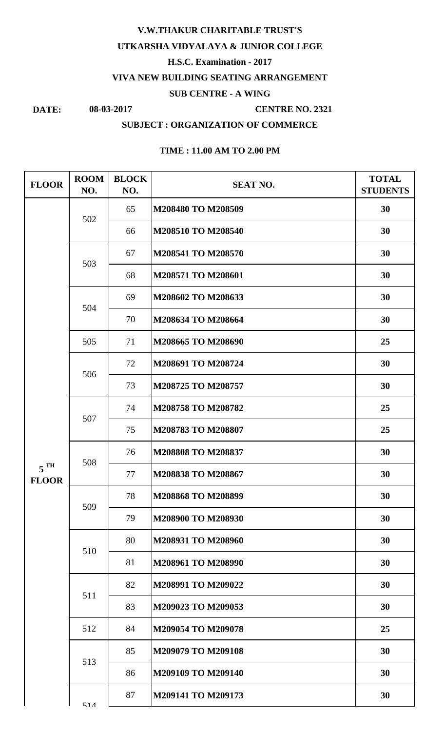## **V.W.THAKUR CHARITABLE TRUST'S UTKARSHA VIDYALAYA & JUNIOR COLLEGE H.S.C. Examination - 2017 VIVA NEW BUILDING SEATING ARRANGEMENT SUB CENTRE - A WING**

## **DATE: 08-03-2017**

#### **CENTRE NO. 2321**

#### **SUBJECT : ORGANIZATION OF COMMERCE**

| <b>FLOOR</b>                      | <b>ROOM</b><br>NO. | <b>BLOCK</b><br>NO. | <b>SEAT NO.</b>    | <b>TOTAL</b><br><b>STUDENTS</b> |
|-----------------------------------|--------------------|---------------------|--------------------|---------------------------------|
|                                   | 502                | 65                  | M208480 TO M208509 | 30                              |
|                                   |                    | 66                  | M208510 TO M208540 | 30                              |
|                                   | 503                | 67                  | M208541 TO M208570 | 30                              |
|                                   |                    | 68                  | M208571 TO M208601 | 30                              |
|                                   | 504                | 69                  | M208602 TO M208633 | 30                              |
|                                   |                    | 70                  | M208634 TO M208664 | 30                              |
|                                   | 505                | 71                  | M208665 TO M208690 | 25                              |
|                                   | 506                | 72                  | M208691 TO M208724 | 30                              |
|                                   |                    | 73                  | M208725 TO M208757 | 30                              |
|                                   | 507                | 74                  | M208758 TO M208782 | 25                              |
|                                   |                    | 75                  | M208783 TO M208807 | 25                              |
|                                   | 508                | 76                  | M208808 TO M208837 | 30                              |
| $5$ <sup>TH</sup><br><b>FLOOR</b> |                    | 77                  | M208838 TO M208867 | 30                              |
|                                   | 509                | 78                  | M208868 TO M208899 | 30                              |
|                                   |                    | 79                  | M208900 TO M208930 | 30                              |
|                                   | 510                | 80                  | M208931 TO M208960 | 30                              |
|                                   |                    | 81                  | M208961 TO M208990 | 30                              |
|                                   | 511                | 82                  | M208991 TO M209022 | 30                              |
|                                   |                    | 83                  | M209023 TO M209053 | 30                              |
|                                   | 512                | 84                  | M209054 TO M209078 | 25                              |
|                                   | 513                | 85                  | M209079 TO M209108 | 30                              |
|                                   |                    | 86                  | M209109 TO M209140 | 30                              |
|                                   | 51 <sub>A</sub>    | 87                  | M209141 TO M209173 | 30                              |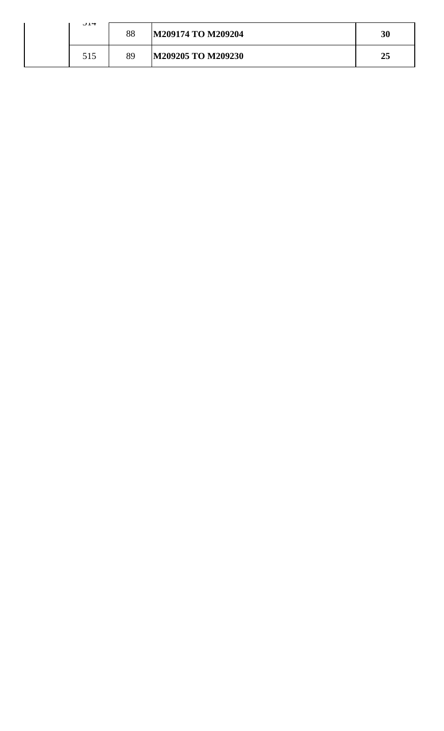| $J1$ + | 88 | M209174 TO M209204 | 30 |
|--------|----|--------------------|----|
| 515    | 89 | M209205 TO M209230 | 25 |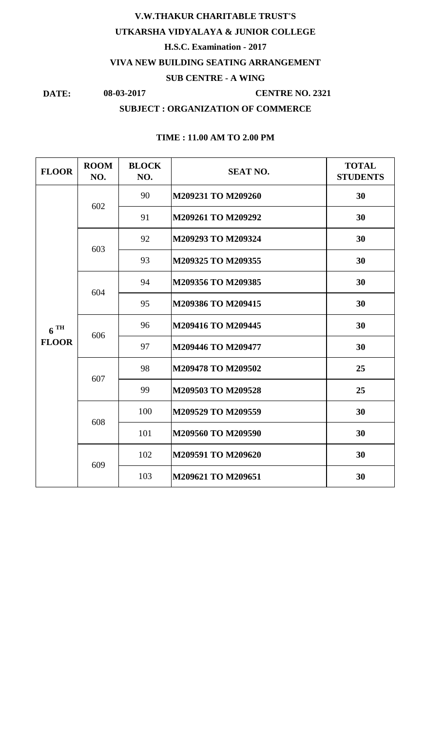## **08-03-2017 V.W.THAKUR CHARITABLE TRUST'S UTKARSHA VIDYALAYA & JUNIOR COLLEGE H.S.C. Examination - 2017 VIVA NEW BUILDING SEATING ARRANGEMENT SUB CENTRE - A WING**

**DATE:**

#### **CENTRE NO. 2321**

## **SUBJECT : ORGANIZATION OF COMMERCE**

| <b>FLOOR</b>             | <b>ROOM</b><br>NO. | <b>BLOCK</b><br>NO. | <b>SEAT NO.</b>    | <b>TOTAL</b><br><b>STUDENTS</b> |
|--------------------------|--------------------|---------------------|--------------------|---------------------------------|
| $6^{TH}$<br><b>FLOOR</b> | 602                | 90                  | M209231 TO M209260 | 30                              |
|                          |                    | 91                  | M209261 TO M209292 | 30                              |
|                          | 603                | 92                  | M209293 TO M209324 | 30                              |
|                          |                    | 93                  | M209325 TO M209355 | 30                              |
|                          | 604                | 94                  | M209356 TO M209385 | 30                              |
|                          |                    | 95                  | M209386 TO M209415 | 30                              |
|                          | 606                | 96                  | M209416 TO M209445 | 30                              |
|                          |                    | 97                  | M209446 TO M209477 | 30                              |
|                          | 607                | 98                  | M209478 TO M209502 | 25                              |
|                          |                    | 99                  | M209503 TO M209528 | 25                              |
|                          | 608                | 100                 | M209529 TO M209559 | 30                              |
|                          |                    | 101                 | M209560 TO M209590 | 30                              |
|                          | 609                | 102                 | M209591 TO M209620 | 30                              |
|                          |                    | 103                 | M209621 TO M209651 | 30                              |